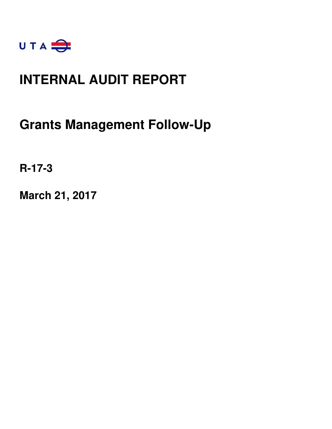

### **INTERNAL AUDIT REPORT**

**Grants Management Follow-Up** 

**R-17-3** 

**March 21, 2017**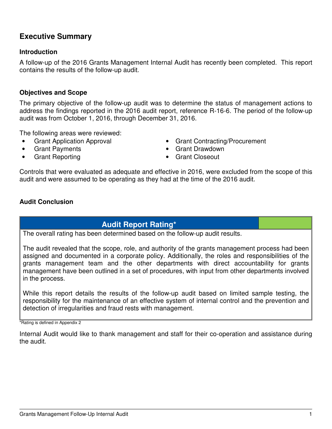### **Executive Summary**

#### **Introduction**

A follow-up of the 2016 Grants Management Internal Audit has recently been completed. This report contains the results of the follow-up audit.

#### **Objectives and Scope**

The primary objective of the follow-up audit was to determine the status of management actions to address the findings reported in the 2016 audit report, reference R-16-6. The period of the follow-up audit was from October 1, 2016, through December 31, 2016.

The following areas were reviewed:

- 
- 
- Grant Reporting entitled a set of the Grant Closeout
- Grant Application Approval Grant Contracting/Procurement
- Grant Payments Grant Drawdown
	-

Controls that were evaluated as adequate and effective in 2016, were excluded from the scope of this audit and were assumed to be operating as they had at the time of the 2016 audit.

### **Audit Conclusion**

### **Audit Report Rating\***

The overall rating has been determined based on the follow-up audit results.

The audit revealed that the scope, role, and authority of the grants management process had been assigned and documented in a corporate policy. Additionally, the roles and responsibilities of the grants management team and the other departments with direct accountability for grants management have been outlined in a set of procedures, with input from other departments involved in the process.

While this report details the results of the follow-up audit based on limited sample testing, the responsibility for the maintenance of an effective system of internal control and the prevention and detection of irregularities and fraud rests with management.

\*Rating is defined in Appendix 2

Internal Audit would like to thank management and staff for their co-operation and assistance during the audit.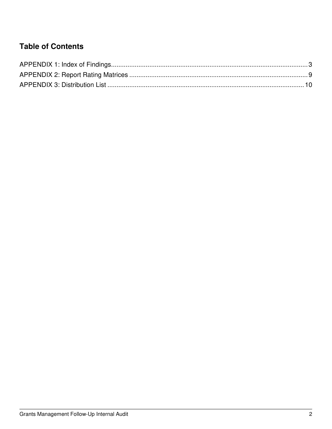### **Table of Contents**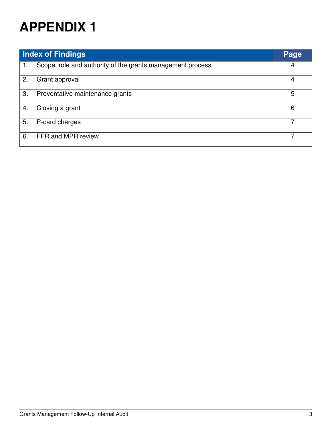| <b>Index of Findings</b> |                                                            | Page |
|--------------------------|------------------------------------------------------------|------|
| 1.                       | Scope, role and authority of the grants management process | 4    |
| 2.                       | Grant approval                                             | 4    |
| 3.                       | Preventative maintenance grants                            | 5    |
| 4.                       | Closing a grant                                            | 6    |
| 5.                       | P-card charges                                             |      |
| 6.                       | FFR and MPR review                                         |      |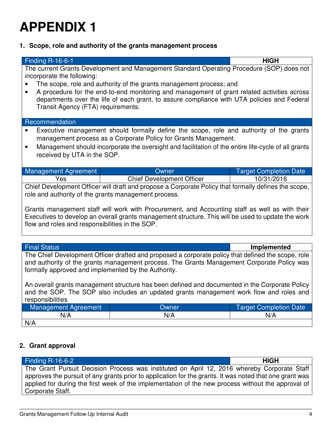**1. Scope, role and authority of the grants management process** 

| <b>Finding R-16-6-1</b>                                                                                                                                                                                                                                                                                                                                                                                                                                      |                                                                                                                                                                                                                                                                   | <b>HIGH</b>                   |
|--------------------------------------------------------------------------------------------------------------------------------------------------------------------------------------------------------------------------------------------------------------------------------------------------------------------------------------------------------------------------------------------------------------------------------------------------------------|-------------------------------------------------------------------------------------------------------------------------------------------------------------------------------------------------------------------------------------------------------------------|-------------------------------|
| The current Grants Development and Management Standard Operating Procedure (SOP) does not<br>incorporate the following:<br>The scope, role and authority of the grants management process; and<br>$\bullet$<br>A procedure for the end-to-end monitoring and management of grant related activities across<br>$\bullet$<br>departments over the life of each grant, to assure compliance with UTA policies and Federal<br>Transit Agency (FTA) requirements. |                                                                                                                                                                                                                                                                   |                               |
| Recommendation                                                                                                                                                                                                                                                                                                                                                                                                                                               |                                                                                                                                                                                                                                                                   |                               |
| $\bullet$<br>received by UTA in the SOP.                                                                                                                                                                                                                                                                                                                                                                                                                     | Executive management should formally define the scope, role and authority of the grants<br>management process as a Corporate Policy for Grants Management.<br>Management should incorporate the oversight and facilitation of the entire life-cycle of all grants |                               |
| Management Agreement                                                                                                                                                                                                                                                                                                                                                                                                                                         | Owner                                                                                                                                                                                                                                                             | <b>Target Completion Date</b> |
| Yes                                                                                                                                                                                                                                                                                                                                                                                                                                                          | <b>Chief Development Officer</b>                                                                                                                                                                                                                                  | 10/31/2016                    |
| Chief Development Officer will draft and propose a Corporate Policy that formally defines the scope,<br>role and authority of the grants management process.<br>Grants management staff will work with Procurement, and Accounting staff as well as with their<br>Executives to develop an overall grants management structure. This will be used to update the work<br>flow and roles and responsibilities in the SOP.                                      |                                                                                                                                                                                                                                                                   |                               |
| <b>Final Status</b>                                                                                                                                                                                                                                                                                                                                                                                                                                          |                                                                                                                                                                                                                                                                   | Implemented                   |

The Chief Development Officer drafted and proposed a corporate policy that defined the scope, role and authority of the grants management process. The Grants Management Corporate Policy was formally approved and implemented by the Authority.

An overall grants management structure has been defined and documented in the Corporate Policy and the SOP. The SOP also includes an updated grants management work flow and roles and responsibilities

| Management Agreement | Owner | <b>Target Completion Date</b> |
|----------------------|-------|-------------------------------|
| N/A                  | N/A   | N/A                           |
| N/A                  |       |                               |

### **2. Grant approval**

| Finding $R-16-6-2$                                                                                      | <b>HIGH</b> |
|---------------------------------------------------------------------------------------------------------|-------------|
| The Grant Pursuit Decision Process was instituted on April 12, 2016 whereby Corporate Staff             |             |
| approves the pursuit of any grants prior to application for the grants. It was noted that one grant was |             |
| applied for during the first week of the implementation of the new process without the approval of      |             |
| Corporate Staff.                                                                                        |             |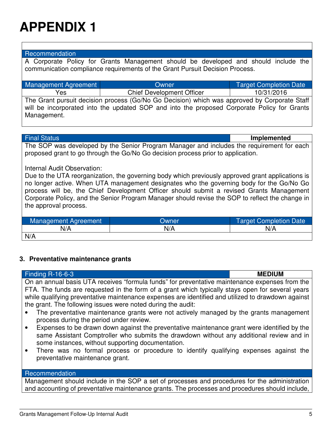#### Recommendation

A Corporate Policy for Grants Management should be developed and should include the communication compliance requirements of the Grant Pursuit Decision Process.

| Management Agreement | Owner                                                                                        | <b>Target Completion Date</b> |
|----------------------|----------------------------------------------------------------------------------------------|-------------------------------|
| Yes                  | <b>Chief Development Officer</b>                                                             | 10/31/2016                    |
|                      | The Grant pursuit decision process (Go/No Go Decision) which was approved by Corporate Staff |                               |
|                      | will be incorporated into the updated SOP and into the proposed Corporate Policy for Grants  |                               |
| Management.          |                                                                                              |                               |

Final Status **Implemented**

The SOP was developed by the Senior Program Manager and includes the requirement for each proposed grant to go through the Go/No Go decision process prior to application.

#### Internal Audit Observation:

Due to the UTA reorganization, the governing body which previously approved grant applications is no longer active. When UTA management designates who the governing body for the Go/No Go process will be, the Chief Development Officer should submit a revised Grants Management Corporate Policy, and the Senior Program Manager should revise the SOP to reflect the change in the approval process.

| Management Agreement | Dwner | <b>Target Completion Date</b> |
|----------------------|-------|-------------------------------|
| N/A                  | N/A   | N/A                           |
| N/A                  |       |                               |

#### **3. Preventative maintenance grants**

| <b>Finding R-16-6-3</b>                                                                                                                                                                                                                                   | <b>MEDIUM</b> |
|-----------------------------------------------------------------------------------------------------------------------------------------------------------------------------------------------------------------------------------------------------------|---------------|
| On an annual basis UTA receives "formula funds" for preventative maintenance expenses from the                                                                                                                                                            |               |
| FTA. The funds are requested in the form of a grant which typically stays open for several years                                                                                                                                                          |               |
| while qualifying preventative maintenance expenses are identified and utilized to drawdown against                                                                                                                                                        |               |
| the grant. The following issues were noted during the audit:                                                                                                                                                                                              |               |
| The preventative maintenance grants were not actively managed by the grants management<br>$\bullet$                                                                                                                                                       |               |
| process during the period under review.                                                                                                                                                                                                                   |               |
| Expenses to be drawn down against the preventative maintenance grant were identified by the<br>$\bullet$<br>same Assistant Comptroller who submits the drawdown without any additional review and in<br>some instances, without supporting documentation. |               |
| There was no formal process or procedure to identify qualifying expenses against the<br>$\bullet$<br>preventative maintenance grant.                                                                                                                      |               |
| Recommendation                                                                                                                                                                                                                                            |               |

Management should include in the SOP a set of processes and procedures for the administration and accounting of preventative maintenance grants. The processes and procedures should include,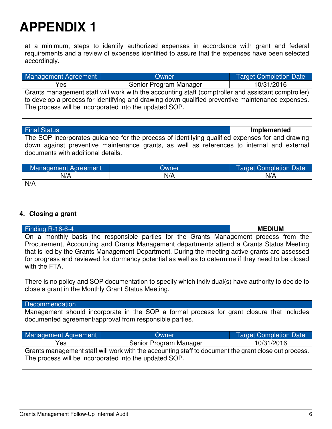at a minimum, steps to identify authorized expenses in accordance with grant and federal requirements and a review of expenses identified to assure that the expenses have been selected accordingly.

| Management Agreement                                                                                | Owner                  | <b>Target Completion Date</b> |
|-----------------------------------------------------------------------------------------------------|------------------------|-------------------------------|
| Yes                                                                                                 | Senior Program Manager | 10/31/2016                    |
| Grants management staff will work with the accounting staff (comptroller and assistant comptroller) |                        |                               |
| to develop a process for identifying and drawing down qualified preventive maintenance expenses.    |                        |                               |
| The process will be incorporated into the updated SOP.                                              |                        |                               |

| <b>Final Status</b>                |                                                                                                                                                                                               | Implemented                   |
|------------------------------------|-----------------------------------------------------------------------------------------------------------------------------------------------------------------------------------------------|-------------------------------|
| documents with additional details. | The SOP incorporates guidance for the process of identifying qualified expenses for and drawing<br>down against preventive maintenance grants, as well as references to internal and external |                               |
| Management Agreement               | Owner                                                                                                                                                                                         | <b>Target Completion Date</b> |
| N/A                                | N/A                                                                                                                                                                                           | N/A                           |
| N/A                                |                                                                                                                                                                                               |                               |

#### **4. Closing a grant**

| Finding R-16-6-4                                                                                                                                                                                                                                                                                                                                                                                                                                                                                                                                                        |                        | <b>MEDIUM</b>                 |
|-------------------------------------------------------------------------------------------------------------------------------------------------------------------------------------------------------------------------------------------------------------------------------------------------------------------------------------------------------------------------------------------------------------------------------------------------------------------------------------------------------------------------------------------------------------------------|------------------------|-------------------------------|
| On a monthly basis the responsible parties for the Grants Management process from the<br>Procurement, Accounting and Grants Management departments attend a Grants Status Meeting<br>that is led by the Grants Management Department. During the meeting active grants are assessed<br>for progress and reviewed for dormancy potential as well as to determine if they need to be closed<br>with the FTA.<br>There is no policy and SOP documentation to specify which individual(s) have authority to decide to<br>close a grant in the Monthly Grant Status Meeting. |                        |                               |
| Recommendation                                                                                                                                                                                                                                                                                                                                                                                                                                                                                                                                                          |                        |                               |
| Management should incorporate in the SOP a formal process for grant closure that includes<br>documented agreement/approval from responsible parties.                                                                                                                                                                                                                                                                                                                                                                                                                    |                        |                               |
| Management Agreement                                                                                                                                                                                                                                                                                                                                                                                                                                                                                                                                                    | Owner                  | <b>Target Completion Date</b> |
| <b>Yes</b>                                                                                                                                                                                                                                                                                                                                                                                                                                                                                                                                                              | Senior Program Manager | 10/31/2016                    |
| Grants management staff will work with the accounting staff to document the grant close out process.<br>The process will be incorporated into the updated SOP.                                                                                                                                                                                                                                                                                                                                                                                                          |                        |                               |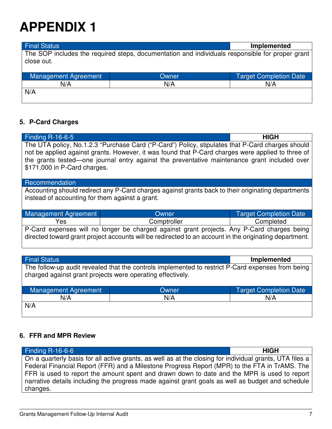Final Status **Implemented** The SOP includes the required steps, documentation and individuals responsible for proper grant close out.

| Management Agreement | Owner | <b>Target Completion Date</b> |
|----------------------|-------|-------------------------------|
| N/A                  | N/A   | N/A                           |
| N/A                  |       |                               |

### **5. P-Card Charges**

| Finding R-16-6-5<br><b>HIGH</b><br>The UTA policy, No.1.2.3 "Purchase Card ("P-Card") Policy, stipulates that P-Card charges should<br>not be applied against grants. However, it was found that P-Card charges were applied to three of<br>the grants tested—one journal entry against the preventative maintenance grant included over<br>\$171,000 in P-Card charges. |             |                               |  |  |  |  |  |
|--------------------------------------------------------------------------------------------------------------------------------------------------------------------------------------------------------------------------------------------------------------------------------------------------------------------------------------------------------------------------|-------------|-------------------------------|--|--|--|--|--|
| Recommendation                                                                                                                                                                                                                                                                                                                                                           |             |                               |  |  |  |  |  |
| Accounting should redirect any P-Card charges against grants back to their originating departments<br>instead of accounting for them against a grant.                                                                                                                                                                                                                    |             |                               |  |  |  |  |  |
| Management Agreement                                                                                                                                                                                                                                                                                                                                                     | Owner       | <b>Target Completion Date</b> |  |  |  |  |  |
| Yes                                                                                                                                                                                                                                                                                                                                                                      | Comptroller | Completed                     |  |  |  |  |  |
| P-Card expenses will no longer be charged against grant projects. Any P-Card charges being<br>directed toward grant project accounts will be redirected to an account in the originating department.                                                                                                                                                                     |             |                               |  |  |  |  |  |
|                                                                                                                                                                                                                                                                                                                                                                          |             |                               |  |  |  |  |  |
| <b>Final Status</b><br><b>Implemented</b>                                                                                                                                                                                                                                                                                                                                |             |                               |  |  |  |  |  |
| The follow-up audit revealed that the controls implemented to restrict P-Card expenses from being<br>charged against grant projects were operating effectively.                                                                                                                                                                                                          |             |                               |  |  |  |  |  |
| <b>Management Agreement</b>                                                                                                                                                                                                                                                                                                                                              | Owner       | <b>Target Completion Date</b> |  |  |  |  |  |
| N/A                                                                                                                                                                                                                                                                                                                                                                      | N/A         | N/A                           |  |  |  |  |  |
| N/A                                                                                                                                                                                                                                                                                                                                                                      |             |                               |  |  |  |  |  |

### **6. FFR and MPR Review**

| Finding $R-16-6-6$                                                                                       | <b>HIGH</b> |  |  |  |
|----------------------------------------------------------------------------------------------------------|-------------|--|--|--|
| On a quarterly basis for all active grants, as well as at the closing for individual grants, UTA files a |             |  |  |  |
| Federal Financial Report (FFR) and a Milestone Progress Report (MPR) to the FTA in TrAMS. The            |             |  |  |  |
| FFR is used to report the amount spent and drawn down to date and the MPR is used to report              |             |  |  |  |
| narrative details including the progress made against grant goals as well as budget and schedule         |             |  |  |  |
| changes.                                                                                                 |             |  |  |  |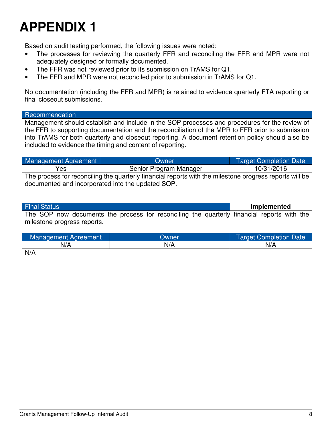Based on audit testing performed, the following issues were noted:

- The processes for reviewing the quarterly FFR and reconciling the FFR and MPR were not adequately designed or formally documented.
- The FFR was not reviewed prior to its submission on TrAMS for Q1.
- The FFR and MPR were not reconciled prior to submission in TrAMS for Q1.

No documentation (including the FFR and MPR) is retained to evidence quarterly FTA reporting or final closeout submissions.

#### Recommendation

Management should establish and include in the SOP processes and procedures for the review of the FFR to supporting documentation and the reconciliation of the MPR to FFR prior to submission into TrAMS for both quarterly and closeout reporting. A document retention policy should also be included to evidence the timing and content of reporting.

Management Agreement | Target Completion Date Yes and Senior Program Manager 10/31/2016 The process for reconciling the quarterly financial reports with the milestone progress reports will be documented and incorporated into the updated SOP.

| <b>Final Status</b>                                                                                                       |       |  | Implemented                   |  |
|---------------------------------------------------------------------------------------------------------------------------|-------|--|-------------------------------|--|
| The SOP now documents the process for reconciling the quarterly financial reports with the<br>milestone progress reports. |       |  |                               |  |
| Management Agreement                                                                                                      | Owner |  | <b>Target Completion Date</b> |  |
| N/A                                                                                                                       | N/A   |  | N/A                           |  |
| N/A                                                                                                                       |       |  |                               |  |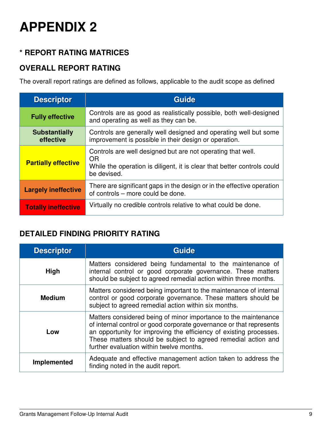### **\* REPORT RATING MATRICES**

### **OVERALL REPORT RATING**

The overall report ratings are defined as follows, applicable to the audit scope as defined

| <b>Descriptor</b>                 | <b>Guide</b>                                                                                                                                                 |  |
|-----------------------------------|--------------------------------------------------------------------------------------------------------------------------------------------------------------|--|
| <b>Fully effective</b>            | Controls are as good as realistically possible, both well-designed<br>and operating as well as they can be.                                                  |  |
| <b>Substantially</b><br>effective | Controls are generally well designed and operating well but some<br>improvement is possible in their design or operation.                                    |  |
| <b>Partially effective</b>        | Controls are well designed but are not operating that well.<br>OR.<br>While the operation is diligent, it is clear that better controls could<br>be devised. |  |
| <b>Largely ineffective</b>        | There are significant gaps in the design or in the effective operation<br>of controls – more could be done.                                                  |  |
| <b>Totally ineffective</b>        | Virtually no credible controls relative to what could be done.                                                                                               |  |

### **DETAILED FINDING PRIORITY RATING**

| <b>Descriptor</b> | <b>Guide</b>                                                                                                                                                                                                                                                                                                              |  |  |
|-------------------|---------------------------------------------------------------------------------------------------------------------------------------------------------------------------------------------------------------------------------------------------------------------------------------------------------------------------|--|--|
| <b>High</b>       | Matters considered being fundamental to the maintenance of<br>internal control or good corporate governance. These matters<br>should be subject to agreed remedial action within three months.                                                                                                                            |  |  |
| <b>Medium</b>     | Matters considered being important to the maintenance of internal<br>control or good corporate governance. These matters should be<br>subject to agreed remedial action within six months.                                                                                                                                |  |  |
| Low               | Matters considered being of minor importance to the maintenance<br>of internal control or good corporate governance or that represents<br>an opportunity for improving the efficiency of existing processes.<br>These matters should be subject to agreed remedial action and<br>further evaluation within twelve months. |  |  |
| Implemented       | Adequate and effective management action taken to address the<br>finding noted in the audit report.                                                                                                                                                                                                                       |  |  |